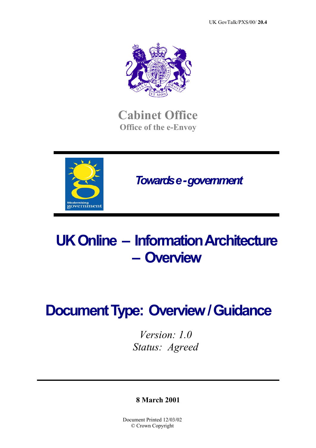

**Cabinet Office Office of the e-Envoy**



 *Towards e - government* 

# **UK Online – Information Architecture – Overview**

# **Document Type: Overview / Guidance**

*Version: 1.0 Status: Agreed* 

**8 March 2001** 

Document Printed 12/03/02 © Crown Copyright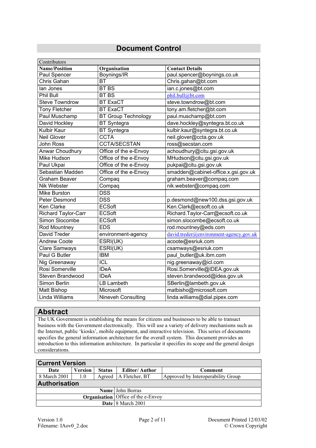### **Document Control**

| Contributors               |                            |                                        |
|----------------------------|----------------------------|----------------------------------------|
| <b>Name/Position</b>       | Organisation               | <b>Contact Details</b>                 |
| Paul Spencer               | Boynings/IR                | paul.spencer@boynings.co.uk            |
| Chris Gahan                | <b>BT</b>                  | Chris.gahan@bt.com                     |
| lan Jones                  | <b>BT BS</b>               | ian.c.jones@bt.com                     |
| Phil Bull                  | <b>BT BS</b>               | phil.bull@bt.com                       |
| <b>Steve Towndrow</b>      | <b>BT ExaCT</b>            | steve.towndrow@bt.com                  |
| <b>Tony Fletcher</b>       | <b>BT ExaCT</b>            | tony.am.fletcher@bt.com                |
| Paul Muschamp              | <b>BT Group Technology</b> | paul.muschamp@bt.com                   |
| David Hockley              | <b>BT</b> Syntegra         | dave.hockley@syntegra.bt.co.uk         |
| <b>Kulbir Kaur</b>         | <b>BT</b> Syntegra         | kulbir.kaur@syntegra.bt.co.uk          |
| Neil Glover                | <b>CCTA</b>                | neil.glover@ccta.gov.uk                |
| John Ross                  | <b>CCTA/SECSTAN</b>        | ross@secstan.com                       |
| Anwar Choudhury            | Office of the e-Envoy      | achoudhury@citu.gsi.gov.uk             |
| Mike Hudson                | Office of the e-Envoy      | MHudson@citu.gsi.gov.uk                |
| Paul Ukpai                 | Office of the e-Envoy      | pukpai@citu.gsi.gov.uk                 |
| Sebastian Madden           | Office of the e-Envoy      | smadden@cabinet-office.x.gsi.gov.uk    |
| <b>Graham Beaver</b>       | Compaq                     | graham.beaver@compaq.com               |
| Nik Webster                | Compaq                     | nik.webster@compaq.com                 |
| Mike Burston               | <b>DSS</b>                 |                                        |
| Peter Desmond              | <b>DSS</b>                 | p.desmond@new100.dss.gsi.gov.uk        |
| Ken Clarke                 | <b>ECSoft</b>              | Ken.Clark@ecsoft.co.uk                 |
| <b>Richard Taylor-Carr</b> | <b>ECSoft</b>              | Richard.Taylor-Carr@ecsoft.co.uk       |
| Simon Slocombe             | <b>ECSoft</b>              | simon.slocombe@ecsoft.co.uk            |
| Rod Mountney               | <b>EDS</b>                 | rod.mountney@eds.com                   |
| <b>David Treder</b>        | environment-agency         | david.treder@environment-agency.gov.uk |
| <b>Andrew Coote</b>        | ESRI(UK)                   | acoote@esriuk.com                      |
| <b>Clare Samways</b>       | ESTI(UK)                   | csamways@esriuk.com                    |
| Paul G Butler              | <b>IBM</b>                 | paul_butler@uk.ibm.com                 |
| Nig Greenaway              | <b>ICL</b>                 | nig.greenaway@icl.com                  |
| Rosi Somerville            | <b>IDeA</b>                | Rosi.Somerville@IDEA.gov.uk            |
| Steven Brandwood           | <b>IDeA</b>                | steven.brandwood@idea.gov.uk           |
| Simon Berlin               | <b>LB Lambeth</b>          | SBerlin@lambeth.gov.uk                 |
| Matt Bishop                | Microsoft                  | matbisho@microsoft.com                 |
| Linda Williams             | <b>Nineveh Consulting</b>  | linda.williams@dial.pipex.com          |

#### **Abstract**

The UK Government is establishing the means for citizens and businesses to be able to transact business with the Government electronically. This will use a variety of delivery mechanisms such as the Internet, public 'kiosks', mobile equipment, and interactive television. This series of documents specifies the general information architecture for the overall system. This document provides an introduction to this information architecture. In particular it specifies its scope and the general design considerations.

| <b>Current Version</b> |                      |                                             |                      |                                    |  |
|------------------------|----------------------|---------------------------------------------|----------------------|------------------------------------|--|
| Date                   | Version              | <b>Status</b>                               | <b>Editor/Author</b> | Comment                            |  |
| 8 March 2001           | 1.0                  | Agreed                                      | A Fletcher, BT       | Approved by Interoperability Group |  |
|                        | <b>Authorisation</b> |                                             |                      |                                    |  |
|                        |                      |                                             | Name John Borras     |                                    |  |
|                        |                      | <b>Organisation</b>   Office of the e-Envoy |                      |                                    |  |
|                        |                      | Date 8 March 2001                           |                      |                                    |  |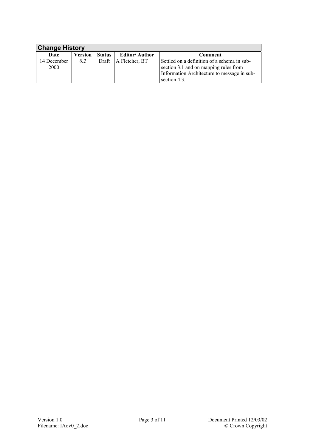<span id="page-2-1"></span><span id="page-2-0"></span>

| <b>Change History</b> |         |               |                      |                                                                                                                                                     |
|-----------------------|---------|---------------|----------------------|-----------------------------------------------------------------------------------------------------------------------------------------------------|
| Date                  | Version | <b>Status</b> | <b>Editor/Author</b> | Comment                                                                                                                                             |
| 14 December<br>2000   | 0.2     | Draft         | A Fletcher, BT       | Settled on a definition of a schema in sub-<br>section 3.1 and on mapping rules from<br>Information Architecture to message in sub-<br>section 4.3. |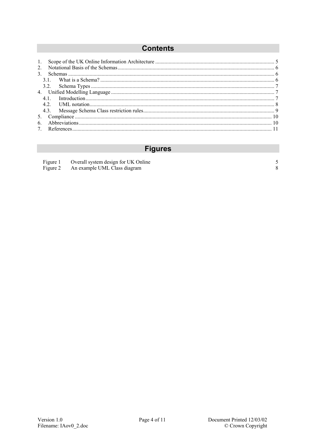# **Contents**

| 2 <sub>1</sub> |  |
|----------------|--|
|                |  |
|                |  |
|                |  |
|                |  |
| 4.1            |  |
|                |  |
|                |  |
|                |  |
| 6              |  |
|                |  |

# **Figures**

| Figure 1 | Overall system design for UK Online   |  |
|----------|---------------------------------------|--|
|          | Figure 2 An example UML Class diagram |  |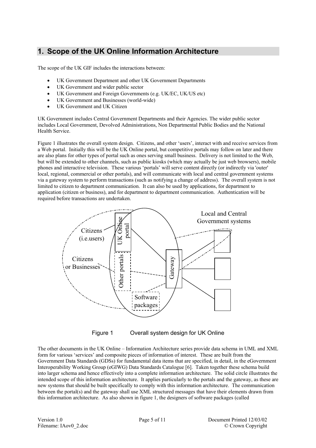## <span id="page-4-0"></span>**1. Scope of the UK Online Information Architecture**

The scope of the UK GIF includes the interactions between:

- UK Government Department and other UK Government Departments
- UK Government and wider public sector
- UK Government and Foreign Governments (e.g. UK/EC, UK/US etc)
- UK Government and Businesses (world-wide)
- UK Government and UK Citizen

UK Government includes Central Government Departments and their Agencies. The wider public sector includes Local Government, Devolved Administrations, Non Departmental Public Bodies and the National Health Service.

Figure 1 illustrates the overall system design. Citizens, and other 'users', interact with and receive services from a Web portal. Initially this will be the UK Online portal, but competitive portals may follow on later and there are also plans for other types of portal such as ones serving small business. Delivery is not limited to the Web, but will be extended to other channels, such as public kiosks (which may actually be just web browsers), mobile phones and interactive television. These various 'portals' will serve content directly (or indirectly via 'outer' local, regional, commercial or other portals), and will communicate with local and central government systems via a gateway system to perform transactions (such as notifying a change of address). The overall system is not limited to citizen to department communication. It can also be used by applications, for department to application (citizen or business), and for department to department communication. Authentication will be required before transactions are undertaken.



Figure 1 Overall system design for UK Online

The other documents in the UK Online – Information Architecture series provide data schema in UML and XML form for various 'services' and composite pieces of information of interest. These are built from the Government Data Standards (GDSs) for fundamental data items that are specified, in detail, in the eGovernment Interoperability Working Group (eGIWG) Data Standards Catalogue [6]. Taken together these schema build into larger schema and hence effectively into a complete information architecture. The solid circle illustrates the intended scope of this information architecture. It applies particularly to the portals and the gateway, as these are new systems that should be built specifically to comply with this information architecture. The communication between the portal(s) and the gateway shall use XML structured messages that have their elements drawn from this information architecture. As also shown in figure 1, the designers of software packages (called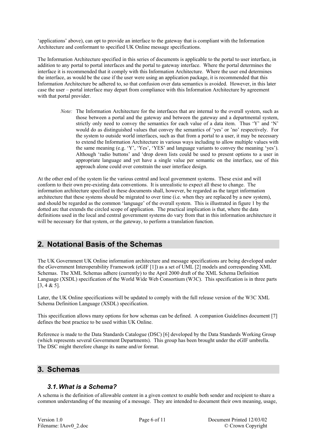<span id="page-5-0"></span>'applications' above), can opt to provide an interface to the gateway that is compliant with the Information Architecture and conformant to specified UK Online message specifications.

The Information Architecture specified in this series of documents is applicable to the portal to user interface, in addition to any portal to portal interfaces and the portal to gateway interface. Where the portal determines the interface it is recommended that it comply with this Information Architecture. Where the user end determines the interface, as would be the case if the user were using an application package, it is recommended that this Information Architecture be adhered to, so that confusion over data semantics is avoided. However, in this later case the user – portal interface may depart from compliance with this Information Architecture by agreement with that portal provider.

*Note:* The Information Architecture for the interfaces that are internal to the overall system, such as those between a portal and the gateway and between the gateway and a departmental system, strictly only need to convey the semantics for each value of a data item. Thus 'Y' and 'N' would do as distinguished values that convey the semantics of 'yes' or 'no' respectively. For the system to outside world interfaces, such as that from a portal to a user, it may be necessary to extend the Information Architecture in various ways including to allow multiple values with the same meaning (e.g. 'Y', 'Yes', 'YES' and language variants to convey the meaning 'yes'). Although 'radio buttons' and 'drop down lists could be used to present options to a user in appropriate language and yet have a single value per semantic on the interface, use of this approach alone could over constrain the user interface design.

At the other end of the system lie the various central and local government systems. These exist and will conform to their own pre-existing data conventions. It is unrealistic to expect all these to change. The information architecture specified in these documents shall, however, be regarded as the target information architecture that these systems should be migrated to over time (i.e. when they are replaced by a new system), and should be regarded as the common 'language' of the overall system. This is illustrated in figure 1 by the dotted arc that extends the circled scope of application. The practical implication is that, where the data definitions used in the local and central government systems do vary from that in this information architecture it will be necessary for that system, or the gateway, to perform a translation function.

#### **2. Notational Basis of the Schemas**

The UK Government UK Online information architecture and message specifications are being developed under the eGovernment Interoperability Framework (eGIF [1]) as a set of UML [2] models and corresponding XML Schemas. The XML Schemas adhere (currently) to the April 2000 draft of the XML Schema Definition Language (XSDL) specification of the World Wide Web Consortium (W3C). This specification is in three parts  $[3, 4 & 5]$ .

Later, the UK Online specifications will be updated to comply with the full release version of the W3C XML Schema Definition Language (XSDL) specification.

This specification allows many options for how schemas can be defined. A companion Guidelines document [7] defines the best practice to be used within UK Online.

Reference is made to the Data Standards Catalogue (DSC) [6] developed by the Data Standards Working Group (which represents several Government Departments). This group has been brought under the eGIF umbrella. The DSC might therefore change its name and/or format.

#### **3. Schemas**

#### *3.1. What is a Schema?*

A schema is the definition of allowable content in a given context to enable both sender and recipient to share a common understanding of the meaning of a message. They are intended to document their own meaning, usage,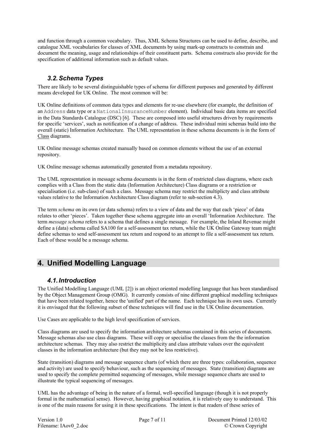<span id="page-6-0"></span>and function through a common vocabulary. Thus, XML Schema Structures can be used to define, describe, and catalogue XML vocabularies for classes of XML documents by using mark-up constructs to constrain and document the meaning, usage and relationships of their constituent parts. Schema constructs also provide for the specification of additional information such as default values.

#### *3.2. Schema Types*

There are likely to be several distinguishable types of schema for different purposes and generated by different means developed for UK Online. The most common will be:

UK Online definitions of common data types and elements for re-use elsewhere (for example, the definition of an Address data type or a NationalInsuranceNumber element). Individual basic data items are specified in the Data Standards Catalogue (DSC) [6]. These are composed into useful structures driven by requirements for specific 'services', such as notification of a change of address. These individual mini schemas build into the overall (static) Information Architecture. The UML representation in these schema documents is in the form of Class diagrams.

UK Online message schemas created manually based on common elements without the use of an external repository.

UK Online message schemas automatically generated from a metadata repository.

The UML representation in message schema documents is in the form of restricted class diagrams, where each complies with a Class from the static data (Information Architecture) Class diagrams or a restriction or specialisation (i.e. sub-class) of such a class. Message schema may restrict the multiplicty and class attribute values relative to the Information Architecture Class diagram (refer to sub-section [4.3\)](#page-8-1).

The term *schema* on its own (or data schema) refers to a view of data and the way that each 'piece' of data relates to other 'pieces'. Taken together these schema aggregate into an overall 'Information Architecture. The term *message schema* refers to a schema that defines a single message. For example, the Inland Revenue might define a (data) schema called SA100 for a self-assessment tax return, while the UK Online Gateway team might define schemas to send self-assessment tax return and respond to an attempt to file a self-assessment tax return. Each of these would be a message schema.

#### **4. Unified Modelling Language**

#### *4.1. Introduction*

The Unified Modelling Language (UML [2]) is an object oriented modelling language that has been standardised by the Object Management Group (OMG). It currently consists of nine different graphical modelling techniques that have been related together, hence the 'unified' part of the name. Each technique has its own uses. Currently it is envisaged that the following subset of these techniques will find use in the UK Online documentation.

Use Cases are applicable to the high level specification of services.

Class diagrams are used to specify the information architecture schemas contained in this series of documents. Message schemas also use class diagrams. These will copy or specialise the classes from the the information architecture schemas. They may also restrict the multiplicity and class attribute values over the equivalent classes in the information architecture (but they may not be less restrictive).

State (transition) diagrams and message sequence charts (of which there are three types: collaboration, sequence and activity) are used to specify behaviour, such as the sequencing of messages. State (transition) diagrams are used to specify the complete permitted sequencing of messages, while message sequence charts are used to illustrate the typical sequencing of messages.

UML has the advantage of being in the nature of a formal, well-specified language (though it is not properly formal in the mathematical sense). However, having graphical notation, it is relatively easy to understand. This is one of the main reasons for using it in these specifications. The intent is that readers of these series of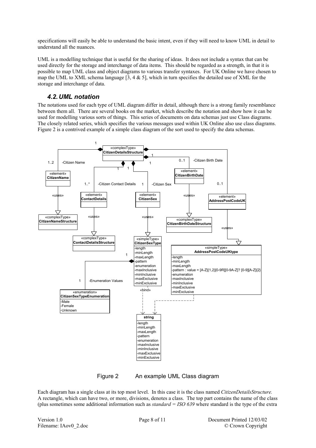<span id="page-7-0"></span>specifications will easily be able to understand the basic intent, even if they will need to know UML in detail to understand all the nuances.

UML is a modelling technique that is useful for the sharing of ideas. It does not include a syntax that can be used directly for the storage and interchange of data items. This should be regarded as a strength, in that it is possible to map UML class and object diagrams to various transfer syntaxes. For UK Online we have chosen to map the UML to XML schema language  $[3, 4 \& 5]$ , which in turn specifies the detailed use of XML for the storage and interchange of data.

#### *4.2. UML notation*

The notations used for each type of UML diagram differ in detail, although there is a strong family resemblance between them all. There are several books on the market, which describe the notation and show how it can be used for modelling various sorts of things. This series of documents on data schemas just use Class diagrams. The closely related series, which specifies the various messages used within UK Online also use class diagrams. Figure 2 is a contrived example of a simple class diagram of the sort used to specify the data schemas.



Figure 2 An example UML Class diagram

Each diagram has a single class at its top most level. In this case it is the class named *CitizenDetailsStructure.* A rectangle, which can have two, or more, divisions, denotes a class. The top part contains the name of the class (plus sometimes some additional information such as *standard = ISO 639* where standard is the type of the extra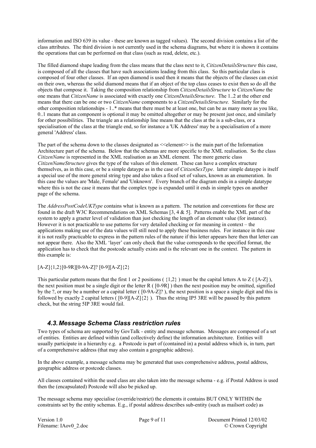<span id="page-8-0"></span>information and ISO 639 its value - these are known as tagged values). The second division contains a list of the class attributes. The third division is not currently used in the schema diagrams, but where it is shown it contains the operations that can be performed on that class (such as read, delete, etc.).

The filled diamond shape leading from the class means that the class next to it, *CitizenDetailsStructure* this case, is composed of all the classes that have such associations leading from this class. So this particular class is composed of four other classes. If an open diamond is used then it means that the objects of the classes can exist on their own, whereas the solid diamond means that if an object of the top class ceases to exist then so do all the objects that compose it. Taking the composition relationship from *CitizenDetailsStructure* to *CitizenName* the one means that *CitizenName* is associated with exactly one *CitizenDetailsStructure*. The 1..2 at the other end means that there can be one or two *CitizenName* components to a *CitizenDetailsStructure.* Similarly for the other composition relationships - 1..\* means that there must be at least one, but can be as many more as you like, 0..1 means that an component is optional it may be omitted altogether or may be present just once, and similarly for other possibilities. The triangle an a relationship line means that the class at the is a sub-class, or a specialisation of the class at the triangle end, so for instance a 'UK Address' may be a specialisation of a more general 'Address' class.

The part of the schema down to the classes designated as  $\leq$ element $\geq$  is the main part of the Information Architecture part of the schema. Below that the schemas are more specific to the XML realisation. So the class *CitizenName* is represented in the XML realisation as an XML element. The more generic class *CitizenNameStructure* gives the type of the values of this element. These can have a complex structure themselves, as in this case, or be a simple dataype as in the case of *CitizenSexType*. latter simple dataype is itself a special use of the more general string type and also takes a fixed set of values, known as an enumeration. In this case the values are 'Male, Female' and 'Unknown'. Every branch of the diagram ends in a simple datatype where this is not the case it means that the complex type is expanded until it ends in simple types on another page of the schema.

The *AddressPostCodeUKType* contains what is known as a pattern. The notation and conventions for these are found in the draft W3C Recommendations on XML Schemas [3, 4 & 5]. Patterns enable the XML part of the system to apply a graeter level of validation than just checking the length of an element value (for instance). However it is not practicable to use patterns for very detailed checking or for meaning in context – the applications making use of the data values will still need to apply these business rules. For instance in this case it is not really practicable to express in the pattern rules of the nature if this letter appears here then that letter can not appear there. Also the XML 'layer' can only check that the value corresponds to the specified format, the application has to check that the postcode actually exists and is the relevant one in the context. The pattern in this example is:

[A-Z]{1,2}[0-9R][0-9A-Z]? [0-9][A-Z]{2}

This particular pattern means that the first 1 or 2 positions ( $\{1,2\}$ ) must be the capital letters A to Z ( $[A-Z]$ ), the next position must be a single digit or the letter  $R( [0-9R] )$  then the next position may be omitted, signified by the ?, or may be a number or a capital letter ( [0-9A-Z]? ), the next position is a space a single digit and this is followed by exactly 2 capital letters ( $[0-9][A-Z]\{2\}$ ). Thus the string IP5 3RE will be passed by this pattern check, but the string 5IP 3RE would fail.

#### <span id="page-8-1"></span>*4.3. Message Schema Class restriction rules*

Two types of schema are supported by GovTalk - entity and message schemas. Messages are composed of a set of entities. Entities are defined within (and collectively define) the information architecture. Entities will usually participate in a hierarchy e.g. a Postcode is part of (contained in) a postal address which is, in turn, part of a comprehensive address (that may also contain a geographic address).

In the above example, a message schema may be generated that uses comprehensive address, postal address, geographic address or postcode classes.

All classes contained within the used class are also taken into the message schema - e.g. if Postal Address is used then the (encapsulated) Postcode will also be picked up.

The message schema may specialise (override/restrict) the elements it contains BUT ONLY WITHIN the constraints set by the entity schemas. E.g., if postal address describes sub-entity (such as mailsort code) as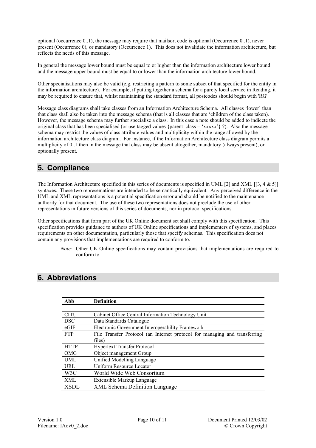<span id="page-9-0"></span>optional (occurrence 0..1), the message may require that mailsort code is optional (Occurrence 0..1), never present (Occurrence 0), or mandatory (Occurrence 1). This does not invalidate the information architecture, but reflects the needs of this message.

In general the message lower bound must be equal to or higher than the information architecture lower bound and the message upper bound must be equal to or lower than the information architecture lower bound.

Other specialisations may also be valid (e.g. restricting a pattern to some subset of that specified for the entity in the information architecture). For example, if putting together a schema for a purely local service in Reading, it may be required to ensure that, whilst maintaining the standard format, all postcodes should begin with 'RG'.

Message class diagrams shall take classes from an Information Architecture Schema. All classes 'lower' than that class shall also be taken into the message schema (that is all classes that are 'children of the class taken). However, the message schema may further specialise a class. In this case a note should be added to indicete the original class that has been specialised (or use tagged values {parent class = 'xxxxx'} ?). Also the message schema may restrict the values of class attribute values and multiplicity within the range allowed by the information architecture class diagram. For instance, if the Information Architecture class diagram permits a multiplicity of 0..1 then in the message that class may be absent altogether, mandatory (always present), or optionally present.

## **5. Compliance**

The Information Architecture specified in this series of documents is specified in UML [2] and XML [[3, 4 & 5]] syntaxes. These two representations are intended to be semantically equivalent. Any perceived difference in the UML and XML representations is a potential specification error and should be notified to the maintenance authority for that document. The use of these two representations does not preclude the use of other representations in future versions of this series of documents, nor in protocol specifications.

Other specifications that form part of the UK Online document set shall comply with this specification. This specification provides guidance to authors of UK Online specifications and implementers of systems, and places requirements on other documentation, particularly those that specify schemas. This specification does not contain any provisions that implementations are required to conform to.

*Note:* Other UK Online specifications may contain provisions that implementations are required to conform to.

### **6. Abbreviations**

| Abb         | <b>Definition</b>                                                          |
|-------------|----------------------------------------------------------------------------|
|             |                                                                            |
| <b>CITU</b> | Cabinet Office Central Information Technology Unit                         |
| <b>DSC</b>  | Data Standards Catalogue                                                   |
| eGIF        | Electronic Government Interoperability Framework                           |
| <b>FTP</b>  | File Transfer Protocol (an Internet protocol for managing and transferring |
|             | files)                                                                     |
| <b>HTTP</b> | <b>Hypertext Transfer Protocol</b>                                         |
| <b>OMG</b>  | Object management Group                                                    |
| <b>UML</b>  | Unified Modelling Language                                                 |
| URL         | Uniform Resource Locator                                                   |
| W3C         | World Wide Web Consortium                                                  |
| XML         | Extensible Markup Language                                                 |
| <b>XSDL</b> | <b>XML Schema Definition Language</b>                                      |